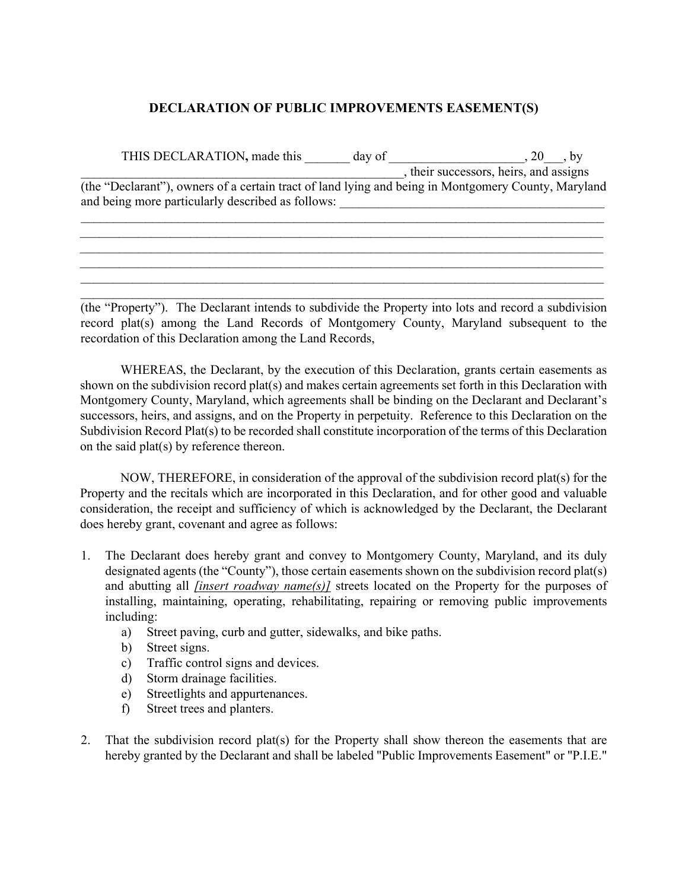## **DECLARATION OF PUBLIC IMPROVEMENTS EASEMENT(S)**

| THIS DECLARATION, made this                                                                                                                              | day of | $\cdot$ by                           |
|----------------------------------------------------------------------------------------------------------------------------------------------------------|--------|--------------------------------------|
|                                                                                                                                                          |        | their successors, heirs, and assigns |
| (the "Declarant"), owners of a certain tract of land lying and being in Montgomery County, Maryland<br>and being more particularly described as follows: |        |                                      |
|                                                                                                                                                          |        |                                      |

 $\mathcal{L}_\mathcal{L} = \mathcal{L}_\mathcal{L} = \mathcal{L}_\mathcal{L} = \mathcal{L}_\mathcal{L} = \mathcal{L}_\mathcal{L} = \mathcal{L}_\mathcal{L} = \mathcal{L}_\mathcal{L} = \mathcal{L}_\mathcal{L} = \mathcal{L}_\mathcal{L} = \mathcal{L}_\mathcal{L} = \mathcal{L}_\mathcal{L} = \mathcal{L}_\mathcal{L} = \mathcal{L}_\mathcal{L} = \mathcal{L}_\mathcal{L} = \mathcal{L}_\mathcal{L} = \mathcal{L}_\mathcal{L} = \mathcal{L}_\mathcal{L}$ \_\_\_\_\_\_\_\_\_\_\_\_\_\_\_\_\_\_\_\_\_\_\_\_\_\_\_\_\_\_\_\_\_\_\_\_\_\_\_\_\_\_\_\_\_\_\_\_\_\_\_\_\_\_\_\_\_\_\_\_\_\_\_\_\_\_\_\_\_\_\_\_\_\_\_\_\_\_\_\_\_  $\mathcal{L}_\mathcal{L} = \mathcal{L}_\mathcal{L} = \mathcal{L}_\mathcal{L} = \mathcal{L}_\mathcal{L} = \mathcal{L}_\mathcal{L} = \mathcal{L}_\mathcal{L} = \mathcal{L}_\mathcal{L} = \mathcal{L}_\mathcal{L} = \mathcal{L}_\mathcal{L} = \mathcal{L}_\mathcal{L} = \mathcal{L}_\mathcal{L} = \mathcal{L}_\mathcal{L} = \mathcal{L}_\mathcal{L} = \mathcal{L}_\mathcal{L} = \mathcal{L}_\mathcal{L} = \mathcal{L}_\mathcal{L} = \mathcal{L}_\mathcal{L}$ \_\_\_\_\_\_\_\_\_\_\_\_\_\_\_\_\_\_\_\_\_\_\_\_\_\_\_\_\_\_\_\_\_\_\_\_\_\_\_\_\_\_\_\_\_\_\_\_\_\_\_\_\_\_\_\_\_\_\_\_\_\_\_\_\_\_\_\_\_\_\_\_\_\_\_\_\_\_\_\_\_  $\_$  , and the contribution of the contribution of the contribution of the contribution of  $\mathcal{L}_\text{max}$ 

(the "Property"). The Declarant intends to subdivide the Property into lots and record a subdivision record plat(s) among the Land Records of Montgomery County, Maryland subsequent to the recordation of this Declaration among the Land Records,

WHEREAS, the Declarant, by the execution of this Declaration, grants certain easements as shown on the subdivision record plat(s) and makes certain agreements set forth in this Declaration with Montgomery County, Maryland, which agreements shall be binding on the Declarant and Declarant's successors, heirs, and assigns, and on the Property in perpetuity. Reference to this Declaration on the Subdivision Record Plat(s) to be recorded shall constitute incorporation of the terms of this Declaration on the said plat(s) by reference thereon.

NOW, THEREFORE, in consideration of the approval of the subdivision record plat(s) for the Property and the recitals which are incorporated in this Declaration, and for other good and valuable consideration, the receipt and sufficiency of which is acknowledged by the Declarant, the Declarant does hereby grant, covenant and agree as follows:

- 1. The Declarant does hereby grant and convey to Montgomery County, Maryland, and its duly designated agents (the "County"), those certain easements shown on the subdivision record plat(s) and abutting all *[insert roadway name(s)]* streets located on the Property for the purposes of installing, maintaining, operating, rehabilitating, repairing or removing public improvements including:
	- a) Street paving, curb and gutter, sidewalks, and bike paths.
	- b) Street signs.
	- c) Traffic control signs and devices.
	- d) Storm drainage facilities.
	- e) Streetlights and appurtenances.
	- f) Street trees and planters.
- 2. That the subdivision record plat(s) for the Property shall show thereon the easements that are hereby granted by the Declarant and shall be labeled "Public Improvements Easement" or "P.I.E."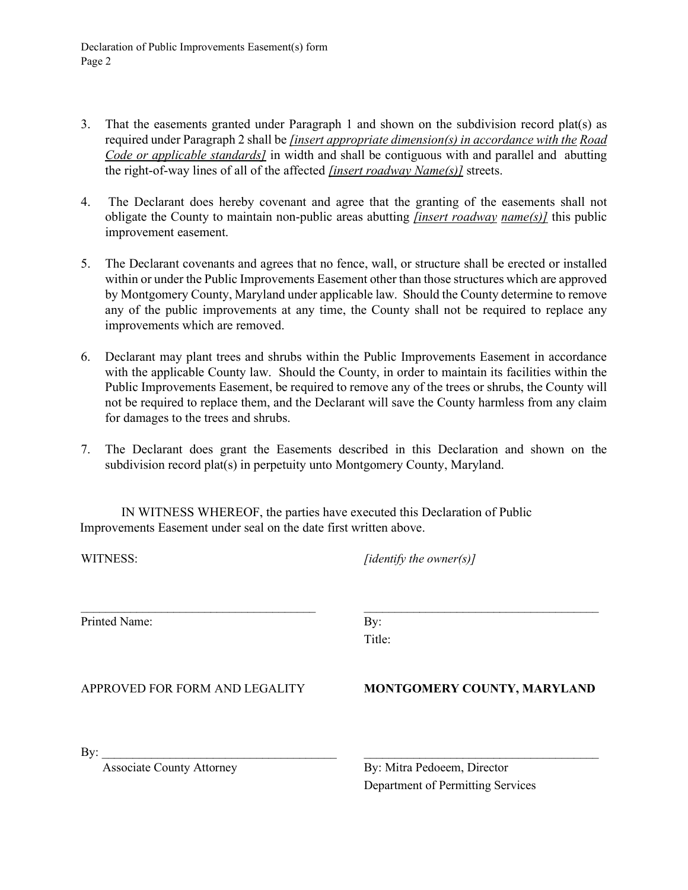Declaration of Public Improvements Easement(s) form Page 2

- 3. That the easements granted under Paragraph 1 and shown on the subdivision record plat(s) as required under Paragraph 2 shall be *[insert appropriate dimension(s) in accordance with the Road Code or applicable standards]* in width and shall be contiguous with and parallel and abutting the right-of-way lines of all of the affected *[insert roadway Name(s)]* streets.
- 4. The Declarant does hereby covenant and agree that the granting of the easements shall not obligate the County to maintain non-public areas abutting *[insert roadway name(s)]* this public improvement easement.
- 5. The Declarant covenants and agrees that no fence, wall, or structure shall be erected or installed within or under the Public Improvements Easement other than those structures which are approved by Montgomery County, Maryland under applicable law. Should the County determine to remove any of the public improvements at any time, the County shall not be required to replace any improvements which are removed.
- 6. Declarant may plant trees and shrubs within the Public Improvements Easement in accordance with the applicable County law. Should the County, in order to maintain its facilities within the Public Improvements Easement, be required to remove any of the trees or shrubs, the County will not be required to replace them, and the Declarant will save the County harmless from any claim for damages to the trees and shrubs.
- 7. The Declarant does grant the Easements described in this Declaration and shown on the subdivision record plat(s) in perpetuity unto Montgomery County, Maryland.

IN WITNESS WHEREOF, the parties have executed this Declaration of Public Improvements Easement under seal on the date first written above.

| WITNESS:                                | $\int$ <i>identify the owner(s)</i> $\int$                       |  |
|-----------------------------------------|------------------------------------------------------------------|--|
| Printed Name:                           | By:<br>Title:                                                    |  |
| APPROVED FOR FORM AND LEGALITY          | MONTGOMERY COUNTY, MARYLAND                                      |  |
| By:<br><b>Associate County Attorney</b> | By: Mitra Pedoeem, Director<br>Department of Permitting Services |  |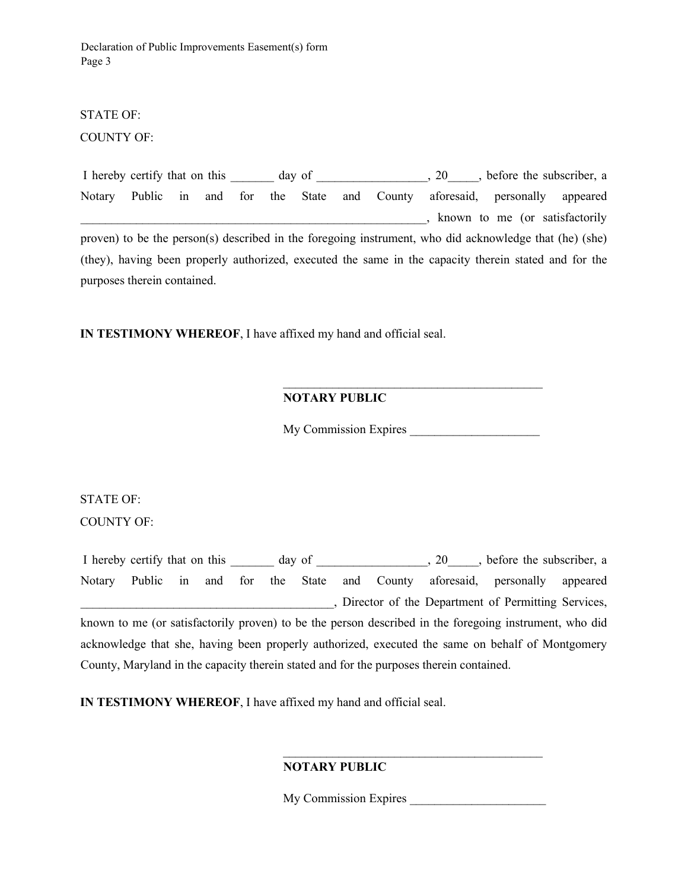Declaration of Public Improvements Easement(s) form Page 3

# STATE OF:

COUNTY OF:

I hereby certify that on this day of  $\qquad \qquad$ , 20  $\qquad$ , before the subscriber, a Notary Public in and for the State and County aforesaid, personally appeared \_\_\_\_\_\_\_\_\_\_\_\_\_\_\_\_\_\_\_\_\_\_\_\_\_\_\_\_\_\_\_\_\_\_\_\_\_\_\_\_\_\_\_\_\_\_\_\_\_\_\_\_\_\_\_\_, known to me (or satisfactorily proven) to be the person(s) described in the foregoing instrument, who did acknowledge that (he) (she) (they), having been properly authorized, executed the same in the capacity therein stated and for the purposes therein contained.

**IN TESTIMONY WHEREOF**, I have affixed my hand and official seal.

## **NOTARY PUBLIC**

My Commission Expires \_\_\_\_\_\_\_\_\_\_\_\_\_\_\_\_\_\_\_\_\_

 $\mathcal{L}_\text{max}$  , and the set of the set of the set of the set of the set of the set of the set of the set of the set of the set of the set of the set of the set of the set of the set of the set of the set of the set of the

STATE OF:

COUNTY OF:

I hereby certify that on this \_\_\_\_\_\_ day of \_\_\_\_\_\_\_\_\_\_\_\_\_, 20\_\_\_\_, before the subscriber, a Notary Public in and for the State and County aforesaid, personally appeared \_\_\_\_\_\_\_\_\_\_\_\_\_\_\_\_\_\_\_\_\_\_\_\_\_\_\_\_\_\_\_\_\_\_\_\_\_\_\_\_\_, Director of the Department of Permitting Services, known to me (or satisfactorily proven) to be the person described in the foregoing instrument, who did acknowledge that she, having been properly authorized, executed the same on behalf of Montgomery County, Maryland in the capacity therein stated and for the purposes therein contained.

**IN TESTIMONY WHEREOF**, I have affixed my hand and official seal.

#### **NOTARY PUBLIC**

 $\frac{1}{\sqrt{2}}$  ,  $\frac{1}{\sqrt{2}}$  ,  $\frac{1}{\sqrt{2}}$  ,  $\frac{1}{\sqrt{2}}$  ,  $\frac{1}{\sqrt{2}}$  ,  $\frac{1}{\sqrt{2}}$  ,  $\frac{1}{\sqrt{2}}$  ,  $\frac{1}{\sqrt{2}}$  ,  $\frac{1}{\sqrt{2}}$  ,  $\frac{1}{\sqrt{2}}$  ,  $\frac{1}{\sqrt{2}}$  ,  $\frac{1}{\sqrt{2}}$  ,  $\frac{1}{\sqrt{2}}$  ,  $\frac{1}{\sqrt{2}}$  ,  $\frac{1}{\sqrt{2}}$ 

My Commission Expires \_\_\_\_\_\_\_\_\_\_\_\_\_\_\_\_\_\_\_\_\_\_